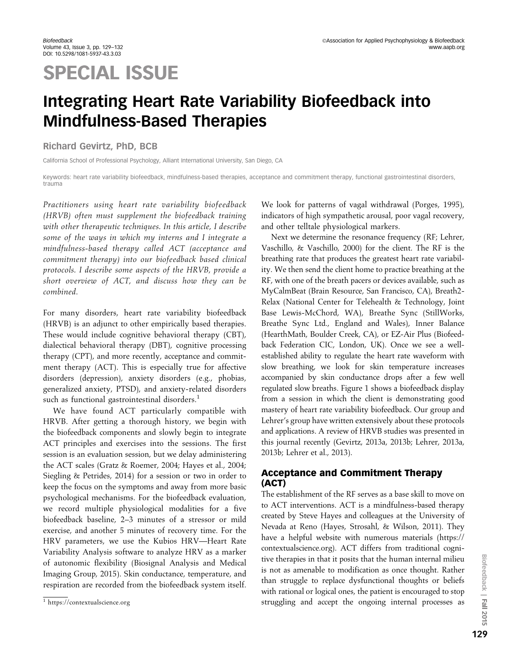# SPECIAL ISSUE

# Integrating Heart Rate Variability Biofeedback into Mindfulness-Based Therapies

## Richard Gevirtz, PhD, BCB

California School of Professional Psychology, Alliant International University, San Diego, CA

Keywords: heart rate variability biofeedback, mindfulness-based therapies, acceptance and commitment therapy, functional gastrointestinal disorders, trauma

Practitioners using heart rate variability biofeedback (HRVB) often must supplement the biofeedback training with other therapeutic techniques. In this article, I describe some of the ways in which my interns and I integrate a mindfulness-based therapy called ACT (acceptance and commitment therapy) into our biofeedback based clinical protocols. I describe some aspects of the HRVB, provide a short overview of ACT, and discuss how they can be combined.

For many disorders, heart rate variability biofeedback (HRVB) is an adjunct to other empirically based therapies. These would include cognitive behavioral therapy (CBT), dialectical behavioral therapy (DBT), cognitive processing therapy (CPT), and more recently, acceptance and commitment therapy (ACT). This is especially true for affective disorders (depression), anxiety disorders (e.g., phobias, generalized anxiety, PTSD), and anxiety-related disorders such as functional gastrointestinal disorders.<sup>1</sup>

We have found ACT particularly compatible with HRVB. After getting a thorough history, we begin with the biofeedback components and slowly begin to integrate ACT principles and exercises into the sessions. The first session is an evaluation session, but we delay administering the ACT scales (Gratz & Roemer, 2004; Hayes et al., 2004; Siegling & Petrides, 2014) for a session or two in order to keep the focus on the symptoms and away from more basic psychological mechanisms. For the biofeedback evaluation, we record multiple physiological modalities for a five biofeedback baseline, 2–3 minutes of a stressor or mild exercise, and another 5 minutes of recovery time. For the HRV parameters, we use the Kubios HRV—Heart Rate Variability Analysis software to analyze HRV as a marker of autonomic flexibility (Biosignal Analysis and Medical Imaging Group, 2015). Skin conductance, temperature, and respiration are recorded from the biofeedback system itself.

We look for patterns of vagal withdrawal (Porges, 1995), indicators of high sympathetic arousal, poor vagal recovery, and other telltale physiological markers.

Next we determine the resonance frequency (RF; Lehrer, Vaschillo, & Vaschillo, 2000) for the client. The RF is the breathing rate that produces the greatest heart rate variability. We then send the client home to practice breathing at the RF, with one of the breath pacers or devices available, such as MyCalmBeat (Brain Resource, San Francisco, CA), Breath2- Relax (National Center for Telehealth & Technology, Joint Base Lewis-McChord, WA), Breathe Sync (StillWorks, Breathe Sync Ltd., England and Wales), Inner Balance (HearthMath, Boulder Creek, CA), or EZ-Air Plus (Biofeedback Federation CIC, London, UK). Once we see a wellestablished ability to regulate the heart rate waveform with slow breathing, we look for skin temperature increases accompanied by skin conductance drops after a few well regulated slow breaths. Figure 1 shows a biofeedback display from a session in which the client is demonstrating good mastery of heart rate variability biofeedback. Our group and Lehrer's group have written extensively about these protocols and applications. A review of HRVB studies was presented in this journal recently (Gevirtz, 2013a, 2013b; Lehrer, 2013a, 2013b; Lehrer et al., 2013).

# Acceptance and Commitment Therapy (ACT)

The establishment of the RF serves as a base skill to move on to ACT interventions. ACT is a mindfulness-based therapy created by Steve Hayes and colleagues at the University of Nevada at Reno (Hayes, Strosahl, & Wilson, 2011). They have a helpful website with numerous materials (https:// contextualscience.org). ACT differs from traditional cognitive therapies in that it posits that the human internal milieu is not as amenable to modification as once thought. Rather than struggle to replace dysfunctional thoughts or beliefs with rational or logical ones, the patient is encouraged to stop  $\frac{1}{1}$  https://contextualscience.org extraordinary internal processes as 1 https://contextualscience.org extraordinary internal processes as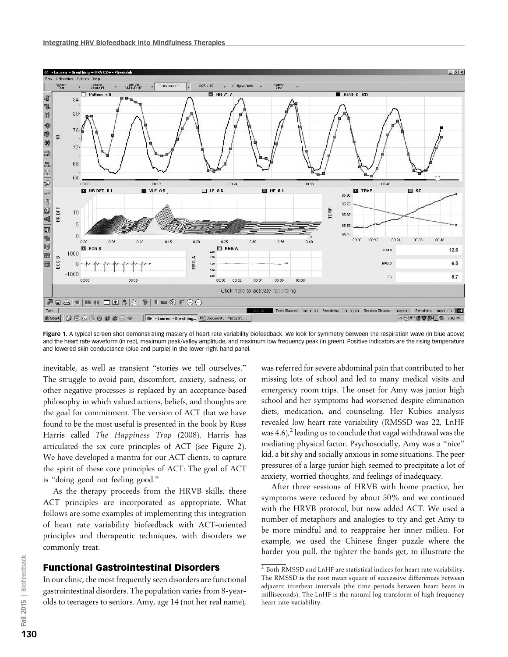

Figure 1. A typical screen shot demonstrating mastery of heart rate variability biofeedback. We look for symmetry between the respiration wave (in blue above) and the heart rate waveform (in red), maximum peak/valley amplitude, and maximum low frequency peak (in green). Positive indicators are the rising temperature and lowered skin conductance (blue and purple) in the lower right hand panel.

inevitable, as well as transient ''stories we tell ourselves.'' The struggle to avoid pain, discomfort, anxiety, sadness, or other negative processes is replaced by an acceptance-based philosophy in which valued actions, beliefs, and thoughts are the goal for commitment. The version of ACT that we have found to be the most useful is presented in the book by Russ Harris called The Happiness Trap (2008). Harris has articulated the six core principles of ACT (see Figure 2). We have developed a mantra for our ACT clients, to capture the spirit of these core principles of ACT: The goal of ACT is ''doing good not feeling good.''

As the therapy proceeds from the HRVB skills, these ACT principles are incorporated as appropriate. What follows are some examples of implementing this integration of heart rate variability biofeedback with ACT-oriented principles and therapeutic techniques, with disorders we commonly treat.

#### Functional Gastrointestinal Disorders

In our clinic, the most frequently seen disorders are functional gastrointestinal disorders. The population varies from 8-yearolds to teenagers to seniors. Amy, age 14 (not her real name), was referred for severe abdominal pain that contributed to her missing lots of school and led to many medical visits and emergency room trips. The onset for Amy was junior high school and her symptoms had worsened despite elimination diets, medication, and counseling. Her Kubios analysis revealed low heart rate variability (RMSSD was 22, LnHF was  $4.6$ ,<sup>2</sup> leading us to conclude that vagal withdrawal was the mediating physical factor. Psychosocially, Amy was a ''nice'' kid, a bit shy and socially anxious in some situations. The peer pressures of a large junior high seemed to precipitate a lot of anxiety, worried thoughts, and feelings of inadequacy.

After three sessions of HRVB with home practice, her symptoms were reduced by about 50% and we continued with the HRVB protocol, but now added ACT. We used a number of metaphors and analogies to try and get Amy to be more mindful and to reappraise her inner milieu. For example, we used the Chinese finger puzzle where the harder you pull, the tighter the bands get, to illustrate the

 $\frac{2}{3}$  Both RMSSD and LnHF are statistical indices for heart rate variability. The RMSSD is the root mean square of successive differences between adjacent interbeat intervals (the time periods between heart beats in milliseconds). The LnHF is the natural log transform of high frequency heart rate variability.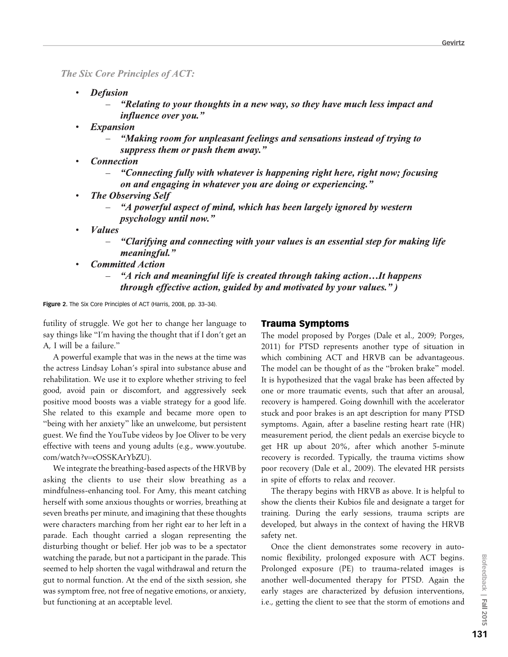**The Six Core Principles of ACT:** 

- $\bullet$ **Defusion** 
	- "Relating to your thoughts in a new way, so they have much less impact and *influence over you.*"
- $\bullet$ **Expansion** 
	- "Making room for unpleasant feelings and sensations instead of trying to suppress them or push them away."
- **Connection** 
	- "Connecting fully with whatever is happening right here, right now; focusing on and engaging in whatever you are doing or experiencing."
- **The Observing Self** 
	- "A powerful aspect of mind, which has been largely ignored by western *psychology until now."*
- *Values* 
	- "Clarifying and connecting with your values is an essential step for making life *meaningful.*"
- **Committed Action** 
	- "A rich and meaningful life is created through taking action... It happens  $\equiv$ *through effective action, guided by and motivated by your values.")*

Figure 2. The Six Core Principles of ACT (Harris, 2008, pp. 33-34).

futility of struggle. We got her to change her language to say things like ''I'm having the thought that if I don't get an A, I will be a failure.''

A powerful example that was in the news at the time was the actress Lindsay Lohan's spiral into substance abuse and rehabilitation. We use it to explore whether striving to feel good, avoid pain or discomfort, and aggressively seek positive mood boosts was a viable strategy for a good life. She related to this example and became more open to ''being with her anxiety'' like an unwelcome, but persistent guest. We find the YouTube videos by Joe Oliver to be very effective with teens and young adults (e.g., www.youtube. com/watch?v=cOSSKArYbZU).

We integrate the breathing-based aspects of the HRVB by asking the clients to use their slow breathing as a mindfulness-enhancing tool. For Amy, this meant catching herself with some anxious thoughts or worries, breathing at seven breaths per minute, and imagining that these thoughts were characters marching from her right ear to her left in a parade. Each thought carried a slogan representing the disturbing thought or belief. Her job was to be a spectator watching the parade, but not a participant in the parade. This seemed to help shorten the vagal withdrawal and return the gut to normal function. At the end of the sixth session, she was symptom free, not free of negative emotions, or anxiety, but functioning at an acceptable level.

# Trauma Symptoms

The model proposed by Porges (Dale et al., 2009; Porges, 2011) for PTSD represents another type of situation in which combining ACT and HRVB can be advantageous. The model can be thought of as the ''broken brake'' model. It is hypothesized that the vagal brake has been affected by one or more traumatic events, such that after an arousal, recovery is hampered. Going downhill with the accelerator stuck and poor brakes is an apt description for many PTSD symptoms. Again, after a baseline resting heart rate (HR) measurement period, the client pedals an exercise bicycle to get HR up about 20%, after which another 5-minute recovery is recorded. Typically, the trauma victims show poor recovery (Dale et al., 2009). The elevated HR persists in spite of efforts to relax and recover.

The therapy begins with HRVB as above. It is helpful to show the clients their Kubios file and designate a target for training. During the early sessions, trauma scripts are developed, but always in the context of having the HRVB safety net.

Once the client demonstrates some recovery in autonomic flexibility, prolonged exposure with ACT begins. Prolonged exposure (PE) to trauma-related images is another well-documented therapy for PTSD. Again the early stages are characterized by defusion interventions, i.e., getting the client to see that the storm of emotions and